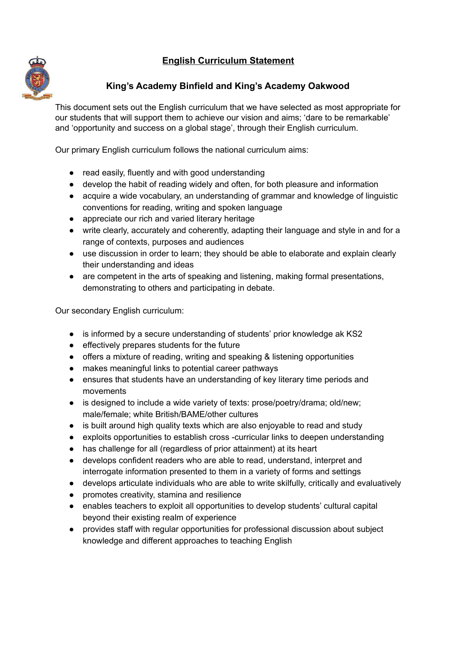# **English Curriculum Statement**



## **King's Academy Binfield and King's Academy Oakwood**

This document sets out the English curriculum that we have selected as most appropriate for our students that will support them to achieve our vision and aims; 'dare to be remarkable' and 'opportunity and success on a global stage', through their English curriculum.

Our primary English curriculum follows the national curriculum aims:

- read easily, fluently and with good understanding
- develop the habit of reading widely and often, for both pleasure and information
- acquire a wide vocabulary, an understanding of grammar and knowledge of linguistic conventions for reading, writing and spoken language
- appreciate our rich and varied literary heritage
- write clearly, accurately and coherently, adapting their language and style in and for a range of contexts, purposes and audiences
- use discussion in order to learn; they should be able to elaborate and explain clearly their understanding and ideas
- are competent in the arts of speaking and listening, making formal presentations, demonstrating to others and participating in debate.

Our secondary English curriculum:

- is informed by a secure understanding of students' prior knowledge ak KS2
- effectively prepares students for the future
- offers a mixture of reading, writing and speaking & listening opportunities
- makes meaningful links to potential career pathways
- ensures that students have an understanding of key literary time periods and movements
- is designed to include a wide variety of texts: prose/poetry/drama; old/new; male/female; white British/BAME/other cultures
- is built around high quality texts which are also enjoyable to read and study
- exploits opportunities to establish cross -curricular links to deepen understanding
- has challenge for all (regardless of prior attainment) at its heart
- develops confident readers who are able to read, understand, interpret and interrogate information presented to them in a variety of forms and settings
- develops articulate individuals who are able to write skilfully, critically and evaluatively
- promotes creativity, stamina and resilience
- enables teachers to exploit all opportunities to develop students' cultural capital beyond their existing realm of experience
- provides staff with regular opportunities for professional discussion about subject knowledge and different approaches to teaching English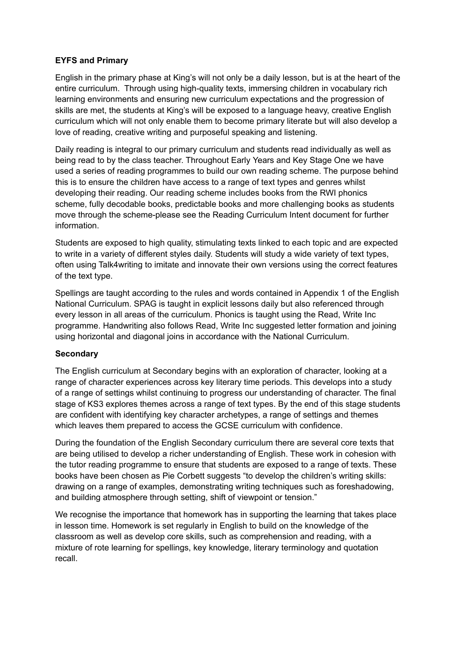#### **EYFS and Primary**

English in the primary phase at King's will not only be a daily lesson, but is at the heart of the entire curriculum. Through using high-quality texts, immersing children in vocabulary rich learning environments and ensuring new curriculum expectations and the progression of skills are met, the students at King's will be exposed to a language heavy, creative English curriculum which will not only enable them to become primary literate but will also develop a love of reading, creative writing and purposeful speaking and listening.

Daily reading is integral to our primary curriculum and students read individually as well as being read to by the class teacher. Throughout Early Years and Key Stage One we have used a series of reading programmes to build our own reading scheme. The purpose behind this is to ensure the children have access to a range of text types and genres whilst developing their reading. Our reading scheme includes books from the RWI phonics scheme, fully decodable books, predictable books and more challenging books as students move through the scheme-please see the Reading Curriculum Intent document for further information.

Students are exposed to high quality, stimulating texts linked to each topic and are expected to write in a variety of different styles daily. Students will study a wide variety of text types, often using Talk4writing to imitate and innovate their own versions using the correct features of the text type.

Spellings are taught according to the rules and words contained in Appendix 1 of the English National Curriculum. SPAG is taught in explicit lessons daily but also referenced through every lesson in all areas of the curriculum. Phonics is taught using the Read, Write Inc programme. Handwriting also follows Read, Write Inc suggested letter formation and joining using horizontal and diagonal joins in accordance with the National Curriculum.

#### **Secondary**

The English curriculum at Secondary begins with an exploration of character, looking at a range of character experiences across key literary time periods. This develops into a study of a range of settings whilst continuing to progress our understanding of character. The final stage of KS3 explores themes across a range of text types. By the end of this stage students are confident with identifying key character archetypes, a range of settings and themes which leaves them prepared to access the GCSE curriculum with confidence.

During the foundation of the English Secondary curriculum there are several core texts that are being utilised to develop a richer understanding of English. These work in cohesion with the tutor reading programme to ensure that students are exposed to a range of texts. These books have been chosen as Pie Corbett suggests "to develop the children's writing skills: drawing on a range of examples, demonstrating writing techniques such as foreshadowing, and building atmosphere through setting, shift of viewpoint or tension."

We recognise the importance that homework has in supporting the learning that takes place in lesson time. Homework is set regularly in English to build on the knowledge of the classroom as well as develop core skills, such as comprehension and reading, with a mixture of rote learning for spellings, key knowledge, literary terminology and quotation recall.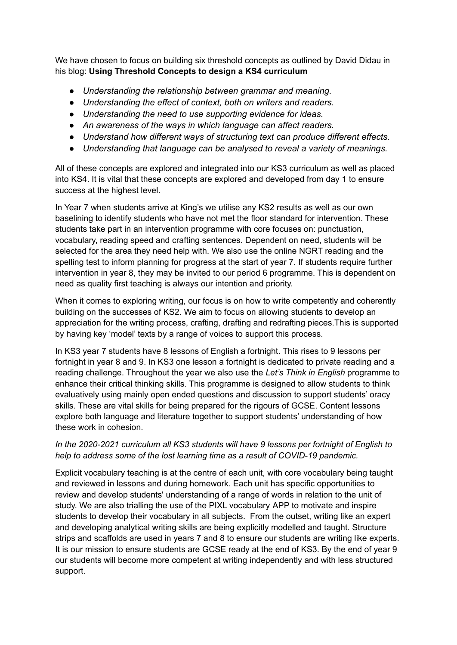We have chosen to focus on building six threshold concepts as outlined by David Didau in his blog: **Using Threshold Concepts to design a KS4 curriculum**

- *● Understanding the relationship between grammar and meaning.*
- *● Understanding the effect of context, both on writers and readers.*
- *● Understanding the need to use supporting evidence for ideas.*
- *● An awareness of the ways in which language can affect readers.*
- *● Understand how different ways of structuring text can produce different effects.*
- *● Understanding that language can be analysed to reveal a variety of meanings.*

All of these concepts are explored and integrated into our KS3 curriculum as well as placed into KS4. It is vital that these concepts are explored and developed from day 1 to ensure success at the highest level.

In Year 7 when students arrive at King's we utilise any KS2 results as well as our own baselining to identify students who have not met the floor standard for intervention. These students take part in an intervention programme with core focuses on: punctuation, vocabulary, reading speed and crafting sentences. Dependent on need, students will be selected for the area they need help with. We also use the online NGRT reading and the spelling test to inform planning for progress at the start of year 7. If students require further intervention in year 8, they may be invited to our period 6 programme. This is dependent on need as quality first teaching is always our intention and priority.

When it comes to exploring writing, our focus is on how to write competently and coherently building on the successes of KS2. We aim to focus on allowing students to develop an appreciation for the writing process, crafting, drafting and redrafting pieces.This is supported by having key 'model' texts by a range of voices to support this process.

In KS3 year 7 students have 8 lessons of English a fortnight. This rises to 9 lessons per fortnight in year 8 and 9. In KS3 one lesson a fortnight is dedicated to private reading and a reading challenge. Throughout the year we also use the *Let's Think in English* programme to enhance their critical thinking skills. This programme is designed to allow students to think evaluatively using mainly open ended questions and discussion to support students' oracy skills. These are vital skills for being prepared for the rigours of GCSE. Content lessons explore both language and literature together to support students' understanding of how these work in cohesion.

## *In the 2020-2021 curriculum all KS3 students will have 9 lessons per fortnight of English to help to address some of the lost learning time as a result of COVID-19 pandemic.*

Explicit vocabulary teaching is at the centre of each unit, with core vocabulary being taught and reviewed in lessons and during homework. Each unit has specific opportunities to review and develop students' understanding of a range of words in relation to the unit of study. We are also trialling the use of the PIXL vocabulary APP to motivate and inspire students to develop their vocabulary in all subjects. From the outset, writing like an expert and developing analytical writing skills are being explicitly modelled and taught. Structure strips and scaffolds are used in years 7 and 8 to ensure our students are writing like experts. It is our mission to ensure students are GCSE ready at the end of KS3. By the end of year 9 our students will become more competent at writing independently and with less structured support.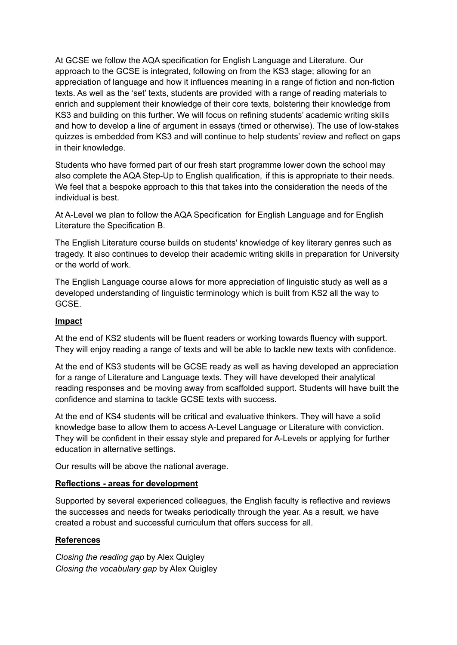At GCSE we follow the AQA specification for English Language and Literature. Our approach to the GCSE is integrated, following on from the KS3 stage; allowing for an appreciation of language and how it influences meaning in a range of fiction and non-fiction texts. As well as the 'set' texts, students are provided with a range of reading materials to enrich and supplement their knowledge of their core texts, bolstering their knowledge from KS3 and building on this further. We will focus on refining students' academic writing skills and how to develop a line of argument in essays (timed or otherwise). The use of low-stakes quizzes is embedded from KS3 and will continue to help students' review and reflect on gaps in their knowledge.

Students who have formed part of our fresh start programme lower down the school may also complete the AQA Step-Up to English qualification, if this is appropriate to their needs. We feel that a bespoke approach to this that takes into the consideration the needs of the individual is best.

At A-Level we plan to follow the AQA Specification for English Language and for English Literature the Specification B.

The English Literature course builds on students' knowledge of key literary genres such as tragedy. It also continues to develop their academic writing skills in preparation for University or the world of work.

The English Language course allows for more appreciation of linguistic study as well as a developed understanding of linguistic terminology which is built from KS2 all the way to GCSE.

#### **Impact**

At the end of KS2 students will be fluent readers or working towards fluency with support. They will enjoy reading a range of texts and will be able to tackle new texts with confidence.

At the end of KS3 students will be GCSE ready as well as having developed an appreciation for a range of Literature and Language texts. They will have developed their analytical reading responses and be moving away from scaffolded support. Students will have built the confidence and stamina to tackle GCSE texts with success.

At the end of KS4 students will be critical and evaluative thinkers. They will have a solid knowledge base to allow them to access A-Level Language or Literature with conviction. They will be confident in their essay style and prepared for A-Levels or applying for further education in alternative settings.

Our results will be above the national average.

#### **Reflections - areas for development**

Supported by several experienced colleagues, the English faculty is reflective and reviews the successes and needs for tweaks periodically through the year. As a result, we have created a robust and successful curriculum that offers success for all.

## **References**

*Closing the reading gap* by Alex Quigley *Closing the vocabulary gap* by Alex Quigley